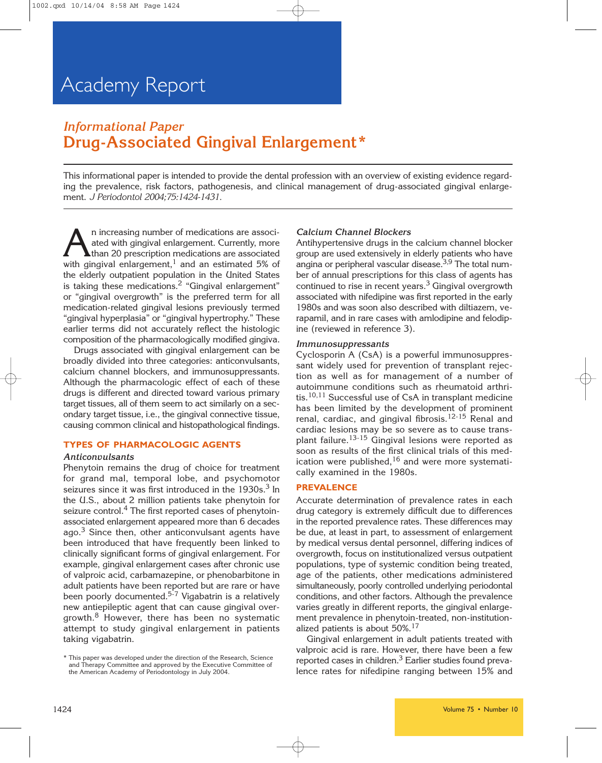### *Informational Paper* **Drug-Associated Gingival Enlargement\***

This informational paper is intended to provide the dental profession with an overview of existing evidence regarding the prevalence, risk factors, pathogenesis, and clinical management of drug-associated gingival enlargement. *J Periodontol 2004;75:1424-1431.*

An increasing number of medications are associated<br>than 20 prescription medications are associated<br>with gingival enlargement  $\frac{1}{2}$  and an estimated  $\frac{5\%}{2}$  of ated with gingival enlargement. Currently, more than 20 prescription medications are associated with gingival enlargement, $1$  and an estimated 5% of the elderly outpatient population in the United States is taking these medications.<sup>2</sup> "Gingival enlargement" or "gingival overgrowth" is the preferred term for all medication-related gingival lesions previously termed "gingival hyperplasia" or "gingival hypertrophy." These earlier terms did not accurately reflect the histologic composition of the pharmacologically modified gingiva.

Drugs associated with gingival enlargement can be broadly divided into three categories: anticonvulsants, calcium channel blockers, and immunosuppressants. Although the pharmacologic effect of each of these drugs is different and directed toward various primary target tissues, all of them seem to act similarly on a secondary target tissue, i.e., the gingival connective tissue, causing common clinical and histopathological findings.

#### **TYPES OF PHARMACOLOGIC AGENTS**

#### *Anticonvulsants*

Phenytoin remains the drug of choice for treatment for grand mal, temporal lobe, and psychomotor seizures since it was first introduced in the 1930s.<sup>3</sup> In the U.S., about 2 million patients take phenytoin for seizure control.<sup>4</sup> The first reported cases of phenytoinassociated enlargement appeared more than 6 decades ago. $3$  Since then, other anticonvulsant agents have been introduced that have frequently been linked to clinically significant forms of gingival enlargement. For example, gingival enlargement cases after chronic use of valproic acid, carbamazepine, or phenobarbitone in adult patients have been reported but are rare or have been poorly documented.<sup>5-7</sup> Vigabatrin is a relatively new antiepileptic agent that can cause gingival overgrowth.<sup>8</sup> However, there has been no systematic attempt to study gingival enlargement in patients taking vigabatrin.

#### *Calcium Channel Blockers*

Antihypertensive drugs in the calcium channel blocker group are used extensively in elderly patients who have angina or peripheral vascular disease.3,9 The total number of annual prescriptions for this class of agents has continued to rise in recent years.<sup>3</sup> Gingival overgrowth associated with nifedipine was first reported in the early 1980s and was soon also described with diltiazem, verapamil, and in rare cases with amlodipine and felodipine (reviewed in reference 3).

#### *Immunosuppressants*

Cyclosporin A (CsA) is a powerful immunosuppressant widely used for prevention of transplant rejection as well as for management of a number of autoimmune conditions such as rheumatoid arthritis.<sup>10,11</sup> Successful use of CsA in transplant medicine has been limited by the development of prominent renal, cardiac, and gingival fibrosis.<sup>12-15</sup> Renal and cardiac lesions may be so severe as to cause transplant failure.13-15 Gingival lesions were reported as soon as results of the first clinical trials of this medication were published, $16$  and were more systematically examined in the 1980s.

#### **PREVALENCE**

Accurate determination of prevalence rates in each drug category is extremely difficult due to differences in the reported prevalence rates. These differences may be due, at least in part, to assessment of enlargement by medical versus dental personnel, differing indices of overgrowth, focus on institutionalized versus outpatient populations, type of systemic condition being treated, age of the patients, other medications administered simultaneously, poorly controlled underlying periodontal conditions, and other factors. Although the prevalence varies greatly in different reports, the gingival enlargement prevalence in phenytoin-treated, non-institutionalized patients is about 50%.<sup>17</sup>

Gingival enlargement in adult patients treated with valproic acid is rare. However, there have been a few reported cases in children.<sup>3</sup> Earlier studies found prevalence rates for nifedipine ranging between 15% and

<sup>\*</sup> This paper was developed under the direction of the Research, Science and Therapy Committee and approved by the Executive Committee of the American Academy of Periodontology in July 2004.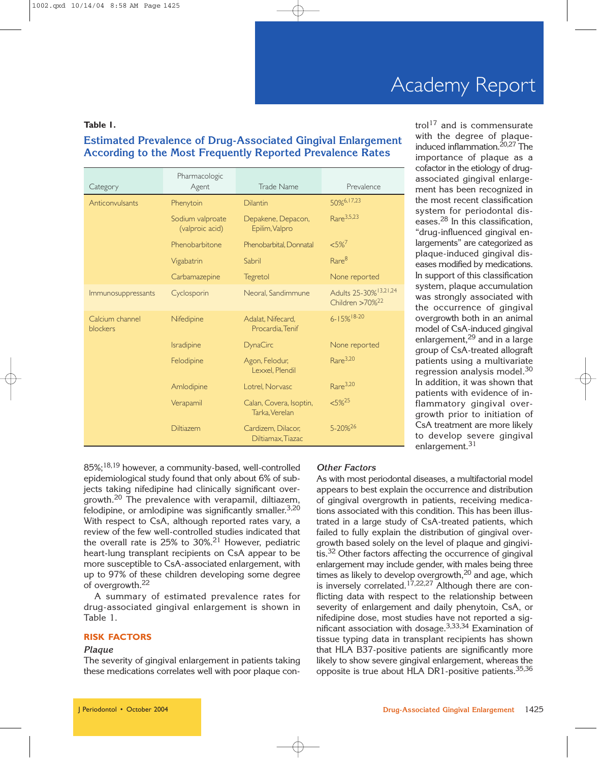#### **Table 1.**

### **Estimated Prevalence of Drug-Associated Gingival Enlargement According to the Most Frequently Reported Prevalence Rates**

| Category                    | Pharmacologic<br>Agent              | Trade Name                                | Prevalence                                                       |
|-----------------------------|-------------------------------------|-------------------------------------------|------------------------------------------------------------------|
| Anticonvulsants             | Phenytoin                           | <b>Dilantin</b>                           | 50%6,17,23                                                       |
|                             | Sodium valproate<br>(valproic acid) | Depakene, Depacon,<br>Epilim, Valpro      | Rare <sup>3,5,23</sup>                                           |
|                             | Phenobarbitone                      | Phenobarbital, Donnatal                   | $< 5\%$ <sup>7</sup>                                             |
|                             | Vigabatrin                          | Sabril                                    | Rare <sup>8</sup>                                                |
|                             | Carbamazepine                       | Tegretol                                  | None reported                                                    |
| Immunosuppressants          | Cyclosporin                         | Neoral, Sandimmune                        | Adults 25-30% <sup>13,21,24</sup><br>Children >70% <sup>22</sup> |
| Calcium channel<br>blockers | Nifedipine                          | Adalat, Nifecard,<br>Procardia, Tenif     | $6 - 15\%$ <sup>18-20</sup>                                      |
|                             | Isradipine                          | <b>DynaCirc</b>                           | None reported                                                    |
|                             | Felodipine                          | Agon, Felodur,<br>Lexxel, Plendil         | Rare <sup>3,20</sup>                                             |
|                             | Amlodipine                          | Lotrel, Norvasc                           | Rare <sup>3,20</sup>                                             |
|                             | Verapamil                           | Calan, Covera, Isoptin,<br>Tarka, Verelan | $5\%^{25}$                                                       |
|                             | <b>Diltiazem</b>                    | Cardizem, Dilacor,<br>Diltiamax, Tiazac   | 5-20%26                                                          |

trol<sup>17</sup> and is commensurate with the degree of plaqueinduced inflammation.<sup>20,27</sup> The importance of plaque as a cofactor in the etiology of drugassociated gingival enlargement has been recognized in the most recent classification system for periodontal diseases.28 In this classification, "drug-influenced gingival enlargements" are categorized as plaque-induced gingival diseases modified by medications. In support of this classification system, plaque accumulation was strongly associated with the occurrence of gingival overgrowth both in an animal model of CsA-induced gingival enlargement,  $29$  and in a large group of CsA-treated allograft patients using a multivariate regression analysis model.<sup>30</sup> In addition, it was shown that patients with evidence of inflammatory gingival overgrowth prior to initiation of CsA treatment are more likely to develop severe gingival enlargement.<sup>31</sup>

85%;18,19 however, a community-based, well-controlled epidemiological study found that only about 6% of subjects taking nifedipine had clinically significant overgrowth.20 The prevalence with verapamil, diltiazem, felodipine, or amlodipine was significantly smaller.<sup>3,20</sup> With respect to CsA, although reported rates vary, a review of the few well-controlled studies indicated that the overall rate is 25% to 30%.<sup>21</sup> However, pediatric heart-lung transplant recipients on CsA appear to be more susceptible to CsA-associated enlargement, with up to 97% of these children developing some degree of overgrowth.<sup>22</sup>

A summary of estimated prevalence rates for drug-associated gingival enlargement is shown in Table 1.

#### **RISK FACTORS**

#### *Plaque*

The severity of gingival enlargement in patients taking these medications correlates well with poor plaque con-

#### *Other Factors*

As with most periodontal diseases, a multifactorial model appears to best explain the occurrence and distribution of gingival overgrowth in patients, receiving medications associated with this condition. This has been illustrated in a large study of CsA-treated patients, which failed to fully explain the distribution of gingival overgrowth based solely on the level of plaque and gingivitis.<sup>32</sup> Other factors affecting the occurrence of gingival enlargement may include gender, with males being three times as likely to develop overgrowth,<sup>20</sup> and age, which is inversely correlated.<sup>17,22,27</sup> Although there are conflicting data with respect to the relationship between severity of enlargement and daily phenytoin, CsA, or nifedipine dose, most studies have not reported a significant association with dosage.3,33,34 Examination of tissue typing data in transplant recipients has shown that HLA B37-positive patients are significantly more likely to show severe gingival enlargement, whereas the opposite is true about HLA DR1-positive patients.<sup>35,36</sup>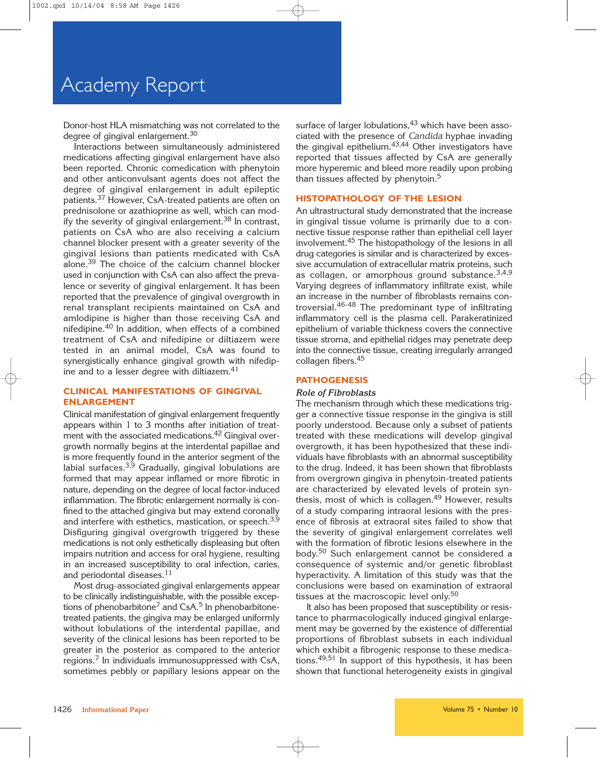Donor-host HLA mismatching was not correlated to the degree of gingival enlargement.<sup>30</sup>

Interactions between simultaneously administered medications affecting gingival enlargement have also been reported. Chronic comedication with phenytoin and other anticonvulsant agents does not affect the degree of gingival enlargement in adult epileptic patients.<sup>37</sup> However, CsA-treated patients are often on prednisolone or azathioprine as well, which can modify the severity of gingival enlargement.<sup>38</sup> In contrast, patients on CsA who are also receiving a calcium channel blocker present with a greater severity of the gingival lesions than patients medicated with CsA alone.39 The choice of the calcium channel blocker used in conjunction with CsA can also affect the prevalence or severity of gingival enlargement. It has been reported that the prevalence of gingival overgrowth in renal transplant recipients maintained on CsA and amlodipine is higher than those receiving CsA and nifedipine.40 In addition, when effects of a combined treatment of CsA and nifedipine or diltiazem were tested in an animal model, CsA was found to synergistically enhance gingival growth with nifedipine and to a lesser degree with diltiazem.<sup>41</sup>

#### **CLINICAL MANIFESTATIONS OF GINGIVAL ENLARGEMENT**

Clinical manifestation of gingival enlargement frequently appears within 1 to 3 months after initiation of treatment with the associated medications.<sup>42</sup> Gingival overgrowth normally begins at the interdental papillae and is more frequently found in the anterior segment of the labial surfaces. $3,9$  Gradually, gingival lobulations are formed that may appear inflamed or more fibrotic in nature, depending on the degree of local factor-induced inflammation. The fibrotic enlargement normally is confined to the attached gingiva but may extend coronally and interfere with esthetics, mastication, or speech.<sup>3,9</sup> Disfiguring gingival overgrowth triggered by these medications is not only esthetically displeasing but often impairs nutrition and access for oral hygiene, resulting in an increased susceptibility to oral infection, caries, and periodontal diseases.<sup>11</sup>

Most drug-associated gingival enlargements appear to be clinically indistinguishable, with the possible exceptions of phenobarbitone<sup>7</sup> and CsA.<sup>5</sup> In phenobarbitonetreated patients, the gingiva may be enlarged uniformly without lobulations of the interdental papillae, and severity of the clinical lesions has been reported to be greater in the posterior as compared to the anterior regions.7 In individuals immunosuppressed with CsA, sometimes pebbly or papillary lesions appear on the surface of larger lobulations,  $43$  which have been associated with the presence of *Candida* hyphae invading the gingival epithelium.<sup>43,44</sup> Other investigators have reported that tissues affected by CsA are generally more hyperemic and bleed more readily upon probing than tissues affected by phenytoin.<sup>5</sup>

#### **HISTOPATHOLOGY OF THE LESION**

An ultrastructural study demonstrated that the increase in gingival tissue volume is primarily due to a connective tissue response rather than epithelial cell layer involvement.45 The histopathology of the lesions in all drug categories is similar and is characterized by excessive accumulation of extracellular matrix proteins, such as collagen, or amorphous ground substance.  $3,4,9$ Varying degrees of inflammatory infiltrate exist, while an increase in the number of fibroblasts remains controversial.46-48 The predominant type of infiltrating inflammatory cell is the plasma cell. Parakeratinized epithelium of variable thickness covers the connective tissue stroma, and epithelial ridges may penetrate deep into the connective tissue, creating irregularly arranged collagen fibers.45

#### **PATHOGENESIS**

#### *Role of Fibroblasts*

The mechanism through which these medications trigger a connective tissue response in the gingiva is still poorly understood. Because only a subset of patients treated with these medications will develop gingival overgrowth, it has been hypothesized that these individuals have fibroblasts with an abnormal susceptibility to the drug. Indeed, it has been shown that fibroblasts from overgrown gingiva in phenytoin-treated patients are characterized by elevated levels of protein synthesis, most of which is collagen.<sup>49</sup> However, results of a study comparing intraoral lesions with the presence of fibrosis at extraoral sites failed to show that the severity of gingival enlargement correlates well with the formation of fibrotic lesions elsewhere in the body.<sup>50</sup> Such enlargement cannot be considered a consequence of systemic and/or genetic fibroblast hyperactivity. A limitation of this study was that the conclusions were based on examination of extraoral tissues at the macroscopic level only.<sup>50</sup>

It also has been proposed that susceptibility or resistance to pharmacologically induced gingival enlargement may be governed by the existence of differential proportions of fibroblast subsets in each individual which exhibit a fibrogenic response to these medications.49,51 In support of this hypothesis, it has been shown that functional heterogeneity exists in gingival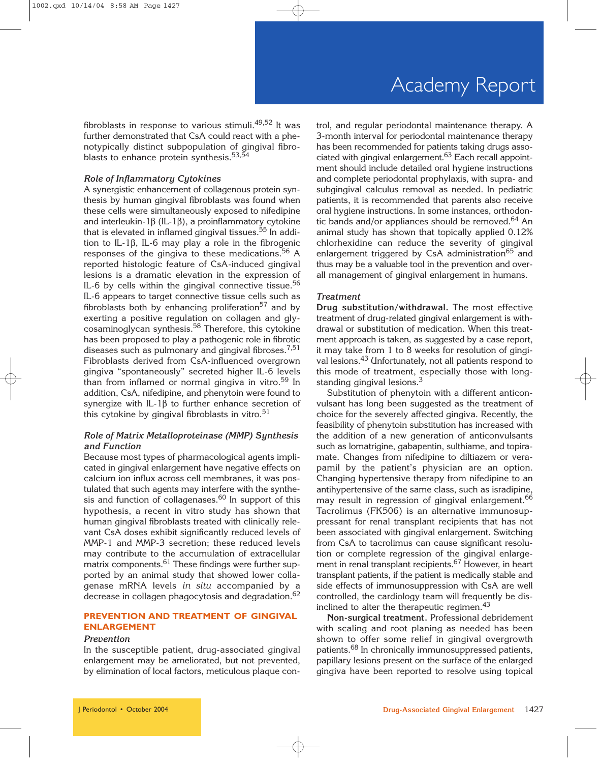fibroblasts in response to various stimuli.<sup>49,52</sup> It was further demonstrated that CsA could react with a phenotypically distinct subpopulation of gingival fibroblasts to enhance protein synthesis.<sup>53,54</sup>

#### *Role of Inflammatory Cytokines*

A synergistic enhancement of collagenous protein synthesis by human gingival fibroblasts was found when these cells were simultaneously exposed to nifedipine and interleukin-1β (IL-1β), a proinflammatory cytokine that is elevated in inflamed gingival tissues.<sup>55</sup> In addition to IL-1β, IL-6 may play a role in the fibrogenic responses of the gingiva to these medications.<sup>56</sup> A reported histologic feature of CsA-induced gingival lesions is a dramatic elevation in the expression of IL-6 by cells within the gingival connective tissue.<sup>56</sup> IL-6 appears to target connective tissue cells such as fibroblasts both by enhancing proliferation<sup>57</sup> and by exerting a positive regulation on collagen and glycosaminoglycan synthesis.<sup>58</sup> Therefore, this cytokine has been proposed to play a pathogenic role in fibrotic diseases such as pulmonary and gingival fibroses.<sup>7,51</sup> Fibroblasts derived from CsA-influenced overgrown gingiva "spontaneously" secreted higher IL-6 levels than from inflamed or normal gingiva in vitro.<sup>59</sup> In addition, CsA, nifedipine, and phenytoin were found to synergize with IL-1 $\beta$  to further enhance secretion of this cytokine by gingival fibroblasts in vitro.<sup>51</sup>

#### *Role of Matrix Metalloproteinase (MMP) Synthesis and Function*

Because most types of pharmacological agents implicated in gingival enlargement have negative effects on calcium ion influx across cell membranes, it was postulated that such agents may interfere with the synthesis and function of collagenases.<sup>60</sup> In support of this hypothesis, a recent in vitro study has shown that human gingival fibroblasts treated with clinically relevant CsA doses exhibit significantly reduced levels of MMP-1 and MMP-3 secretion; these reduced levels may contribute to the accumulation of extracellular matrix components.<sup>61</sup> These findings were further supported by an animal study that showed lower collagenase mRNA levels *in situ* accompanied by a decrease in collagen phagocytosis and degradation.<sup>62</sup>

#### **PREVENTION AND TREATMENT OF GINGIVAL ENLARGEMENT**

#### *Prevention*

In the susceptible patient, drug-associated gingival enlargement may be ameliorated, but not prevented, by elimination of local factors, meticulous plaque control, and regular periodontal maintenance therapy. A 3-month interval for periodontal maintenance therapy has been recommended for patients taking drugs associated with gingival enlargement.<sup>63</sup> Each recall appointment should include detailed oral hygiene instructions and complete periodontal prophylaxis, with supra- and subgingival calculus removal as needed. In pediatric patients, it is recommended that parents also receive oral hygiene instructions. In some instances, orthodontic bands and/or appliances should be removed.<sup>64</sup> An animal study has shown that topically applied 0.12% chlorhexidine can reduce the severity of gingival enlargement triggered by CsA administration<sup>65</sup> and thus may be a valuable tool in the prevention and overall management of gingival enlargement in humans.

#### *Treatment*

**Drug substitution/withdrawal.** The most effective treatment of drug-related gingival enlargement is withdrawal or substitution of medication. When this treatment approach is taken, as suggested by a case report, it may take from 1 to 8 weeks for resolution of gingival lesions.<sup>43</sup> Unfortunately, not all patients respond to this mode of treatment, especially those with longstanding gingival lesions.<sup>3</sup>

Substitution of phenytoin with a different anticonvulsant has long been suggested as the treatment of choice for the severely affected gingiva. Recently, the feasibility of phenytoin substitution has increased with the addition of a new generation of anticonvulsants such as lomatrigine, gabapentin, sulthiame, and topiramate. Changes from nifedipine to diltiazem or verapamil by the patient's physician are an option. Changing hypertensive therapy from nifedipine to an antihypertensive of the same class, such as isradipine, may result in regression of gingival enlargement.<sup>66</sup> Tacrolimus (FK506) is an alternative immunosuppressant for renal transplant recipients that has not been associated with gingival enlargement. Switching from CsA to tacrolimus can cause significant resolution or complete regression of the gingival enlargement in renal transplant recipients.<sup>67</sup> However, in heart transplant patients, if the patient is medically stable and side effects of immunosuppression with CsA are well controlled, the cardiology team will frequently be disinclined to alter the therapeutic regimen.<sup>43</sup>

**Non-surgical treatment.** Professional debridement with scaling and root planing as needed has been shown to offer some relief in gingival overgrowth patients.<sup>68</sup> In chronically immunosuppressed patients, papillary lesions present on the surface of the enlarged gingiva have been reported to resolve using topical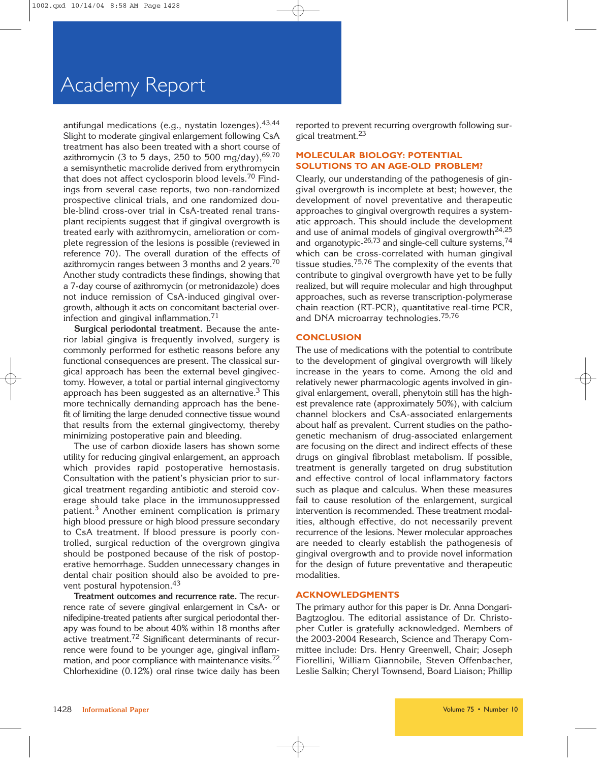antifungal medications (e.g., nystatin lozenges). 43,44 Slight to moderate gingival enlargement following CsA treatment has also been treated with a short course of azithromycin (3 to 5 days, 250 to 500 mg/day),  $69,70$ a semisynthetic macrolide derived from erythromycin that does not affect cyclosporin blood levels.<sup>70</sup> Findings from several case reports, two non-randomized prospective clinical trials, and one randomized double-blind cross-over trial in CsA-treated renal transplant recipients suggest that if gingival overgrowth is treated early with azithromycin, amelioration or complete regression of the lesions is possible (reviewed in reference 70). The overall duration of the effects of azithromycin ranges between 3 months and 2 years.<sup>70</sup> Another study contradicts these findings, showing that a 7-day course of azithromycin (or metronidazole) does not induce remission of CsA-induced gingival overgrowth, although it acts on concomitant bacterial overinfection and gingival inflammation.<sup>71</sup>

**Surgical periodontal treatment.** Because the anterior labial gingiva is frequently involved, surgery is commonly performed for esthetic reasons before any functional consequences are present. The classical surgical approach has been the external bevel gingivectomy. However, a total or partial internal gingivectomy approach has been suggested as an alternative. $3$  This more technically demanding approach has the benefit of limiting the large denuded connective tissue wound that results from the external gingivectomy, thereby minimizing postoperative pain and bleeding.

The use of carbon dioxide lasers has shown some utility for reducing gingival enlargement, an approach which provides rapid postoperative hemostasis. Consultation with the patient's physician prior to surgical treatment regarding antibiotic and steroid coverage should take place in the immunosuppressed patient.<sup>3</sup> Another eminent complication is primary high blood pressure or high blood pressure secondary to CsA treatment. If blood pressure is poorly controlled, surgical reduction of the overgrown gingiva should be postponed because of the risk of postoperative hemorrhage. Sudden unnecessary changes in dental chair position should also be avoided to prevent postural hypotension.<sup>43</sup>

**Treatment outcomes and recurrence rate.** The recurrence rate of severe gingival enlargement in CsA- or nifedipine-treated patients after surgical periodontal therapy was found to be about 40% within 18 months after active treatment.72 Significant determinants of recurrence were found to be younger age, gingival inflammation, and poor compliance with maintenance visits.<sup>72</sup> Chlorhexidine (0.12%) oral rinse twice daily has been reported to prevent recurring overgrowth following surgical treatment.<sup>23</sup>

#### **MOLECULAR BIOLOGY: POTENTIAL SOLUTIONS TO AN AGE-OLD PROBLEM?**

Clearly, our understanding of the pathogenesis of gingival overgrowth is incomplete at best; however, the development of novel preventative and therapeutic approaches to gingival overgrowth requires a systematic approach. This should include the development and use of animal models of gingival overgrowth<sup>24,25</sup> and organotypic-26,73 and single-cell culture systems,<sup>74</sup> which can be cross-correlated with human gingival tissue studies.75,76 The complexity of the events that contribute to gingival overgrowth have yet to be fully realized, but will require molecular and high throughput approaches, such as reverse transcription-polymerase chain reaction (RT-PCR), quantitative real-time PCR, and DNA microarray technologies.75,76

#### **CONCLUSION**

The use of medications with the potential to contribute to the development of gingival overgrowth will likely increase in the years to come. Among the old and relatively newer pharmacologic agents involved in gingival enlargement, overall, phenytoin still has the highest prevalence rate (approximately 50%), with calcium channel blockers and CsA-associated enlargements about half as prevalent. Current studies on the pathogenetic mechanism of drug-associated enlargement are focusing on the direct and indirect effects of these drugs on gingival fibroblast metabolism. If possible, treatment is generally targeted on drug substitution and effective control of local inflammatory factors such as plaque and calculus. When these measures fail to cause resolution of the enlargement, surgical intervention is recommended. These treatment modalities, although effective, do not necessarily prevent recurrence of the lesions. Newer molecular approaches are needed to clearly establish the pathogenesis of gingival overgrowth and to provide novel information for the design of future preventative and therapeutic modalities.

#### **ACKNOWLEDGMENTS**

The primary author for this paper is Dr. Anna Dongari-Bagtzoglou. The editorial assistance of Dr. Christopher Cutler is gratefully acknowledged. Members of the 2003-2004 Research, Science and Therapy Committee include: Drs. Henry Greenwell, Chair; Joseph Fiorellini, William Giannobile, Steven Offenbacher, Leslie Salkin; Cheryl Townsend, Board Liaison; Phillip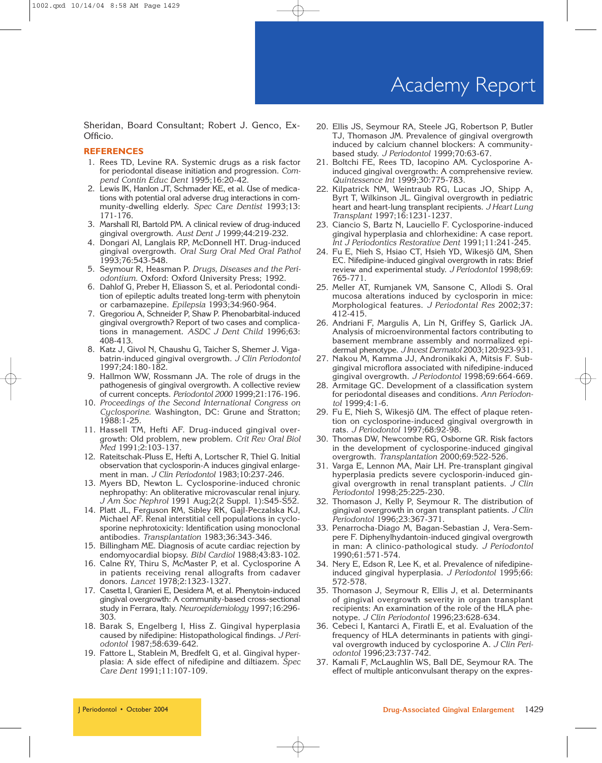Sheridan, Board Consultant; Robert J. Genco, Ex-Officio.

#### **REFERENCES**

- 1. Rees TD, Levine RA. Systemic drugs as a risk factor for periodontal disease initiation and progression. *Compend Contin Educ Dent* 1995;16:20-42.
- 2. Lewis IK, Hanlon JT, Schmader KE, et al. Use of medications with potential oral adverse drug interactions in community-dwelling elderly. *Spec Care Dentist* 1993;13: 171-176.
- 3. Marshall RI, Bartold PM. A clinical review of drug-induced gingival overgrowth. *Aust Dent J* 1999;44:219-232.
- 4. Dongari AI, Langlais RP, McDonnell HT. Drug-induced gingival overgrowth. *Oral Surg Oral Med Oral Pathol* 1993;76:543-548.
- 5. Seymour R, Heasman P. *Drugs, Diseases and the Periodontium.* Oxford: Oxford University Press; 1992.
- 6. Dahlof G, Preber H, Eliasson S, et al. Periodontal condition of epileptic adults treated long-term with phenytoin or carbamazepine. *Epilepsia* 1993;34:960-964.
- 7. Gregoriou A, Schneider P, Shaw P. Phenobarbital-induced gingival overgrowth? Report of two cases and complications in management. *ASDC J Dent Child* 1996;63: 408-413.
- 8. Katz J, Givol N, Chaushu G, Taicher S, Shemer J. Vigabatrin-induced gingival overgrowth. *J Clin Periodontol* 1997;24:180-182.
- 9. Hallmon WW, Rossmann JA. The role of drugs in the pathogenesis of gingival overgrowth. A collective review of current concepts. *Periodontol 2000* 1999;21:176-196.
- 10. *Proceedings of the Second International Congress on Cyclosporine.* Washington, DC: Grune and Stratton; 1988:1-25.
- 11. Hassell TM, Hefti AF. Drug-induced gingival overgrowth: Old problem, new problem. *Crit Rev Oral Biol Med* 1991;2:103-137.
- 12. Rateitschak-Pluss E, Hefti A, Lortscher R, Thiel G. Initial observation that cyclosporin-A induces gingival enlargement in man. *J Clin Periodontol* 1983;10:237-246.
- 13. Myers BD, Newton L. Cyclosporine-induced chronic nephropathy: An obliterative microvascular renal injury. *J Am Soc Nephrol* 1991 Aug;2(2 Suppl. 1):S45-S52.
- 14. Platt JL, Ferguson RM, Sibley RK, Gajl-Peczalska KJ, Michael AF. Renal interstitial cell populations in cyclosporine nephrotoxicity: Identification using monoclonal antibodies. *Transplantation* 1983;36:343-346.
- 15. Billingham ME. Diagnosis of acute cardiac rejection by endomyocardial biopsy. *Bibl Cardiol* 1988;43:83-102.
- 16. Calne RY, Thiru S, McMaster P, et al. Cyclosporine A in patients receiving renal allografts from cadaver donors. *Lancet* 1978;2:1323-1327.
- 17. Casetta I, Granieri E, Desidera M, et al. Phenytoin-induced gingival overgrowth: A community-based cross-sectional study in Ferrara, Italy. *Neuroepidemiology* 1997;16:296- 303.
- 18. Barak S, Engelberg I, Hiss Z. Gingival hyperplasia caused by nifedipine: Histopathological findings. *J Periodontol* 1987;58:639-642.
- 19. Fattore L, Stablein M, Bredfelt G, et al. Gingival hyperplasia: A side effect of nifedipine and diltiazem. *Spec Care Dent* 1991;11:107-109.
- 20. Ellis JS, Seymour RA, Steele JG, Robertson P, Butler TJ, Thomason JM. Prevalence of gingival overgrowth induced by calcium channel blockers: A communitybased study. *J Periodontol* 1999;70:63-67.
- 21. Boltchi FE, Rees TD, Iacopino AM. Cyclosporine Ainduced gingival overgrowth: A comprehensive review. *Quintessence Int* 1999;30:775-783.
- 22. Kilpatrick NM, Weintraub RG, Lucas JO, Shipp A, Byrt T, Wilkinson JL. Gingival overgrowth in pediatric heart and heart-lung transplant recipients. *J Heart Lung Transplant* 1997;16:1231-1237.
- 23. Ciancio S, Bartz N, Lauciello F. Cyclosporine-induced gingival hyperplasia and chlorhexidine: A case report. *Int J Periodontics Restorative Dent* 1991;11:241-245.
- 24. Fu E, Nieh S, Hsiao CT, Hsieh YD, Wikesjö UM, Shen EC. Nifedipine-induced gingival overgrowth in rats: Brief review and experimental study. *J Periodontol* 1998;69: 765-771.
- 25. Meller AT, Rumjanek VM, Sansone C, Allodi S. Oral mucosa alterations induced by cyclosporin in mice: Morphological features. *J Periodontal Res* 2002;37: 412-415.
- 26. Andriani F, Margulis A, Lin N, Griffey S, Garlick JA. Analysis of microenvironmental factors contributing to basement membrane assembly and normalized epidermal phenotype. *J Invest Dermatol* 2003;120:923-931.
- 27. Nakou M, Kamma JJ, Andronikaki A, Mitsis F. Subgingival microflora associated with nifedipine-induced gingival overgrowth. *J Periodontol* 1998;69:664-669.
- 28. Armitage GC. Development of a classification system for periodontal diseases and conditions. *Ann Periodontol* 1999;4:1-6.
- 29. Fu E, Nieh S, Wikesjö UM. The effect of plaque retention on cyclosporine-induced gingival overgrowth in rats. *J Periodontol* 1997;68:92-98.
- 30. Thomas DW, Newcombe RG, Osborne GR. Risk factors in the development of cyclosporine-induced gingival overgrowth. *Transplantation* 2000;69:522-526.
- 31. Varga E, Lennon MA, Mair LH. Pre-transplant gingival hyperplasia predicts severe cyclosporin-induced gingival overgrowth in renal transplant patients. *J Clin Periodontol* 1998;25:225-230.
- 32. Thomason J, Kelly P, Seymour R. The distribution of gingival overgrowth in organ transplant patients. *J Clin Periodontol* 1996;23:367-371.
- 33. Penarrocha-Diago M, Bagan-Sebastian J, Vera-Sempere F. Diphenylhydantoin-induced gingival overgrowth in man: A clinico-pathological study. *J Periodontol* 1990;61:571-574.
- 34. Nery E, Edson R, Lee K, et al. Prevalence of nifedipineinduced gingival hyperplasia. *J Periodontol* 1995;66: 572-578.
- 35. Thomason J, Seymour R, Ellis J, et al. Determinants of gingival overgrowth severity in organ transplant recipients: An examination of the role of the HLA phenotype. *J Clin Periodontol* 1996;23:628-634.
- 36. Cebeci I, Kantarci A, Firatli E, et al. Evaluation of the frequency of HLA determinants in patients with gingival overgrowth induced by cyclosporine A. *J Clin Periodontol* 1996;23:737-742.
- 37. Kamali F, McLaughlin WS, Ball DE, Seymour RA. The effect of multiple anticonvulsant therapy on the expres-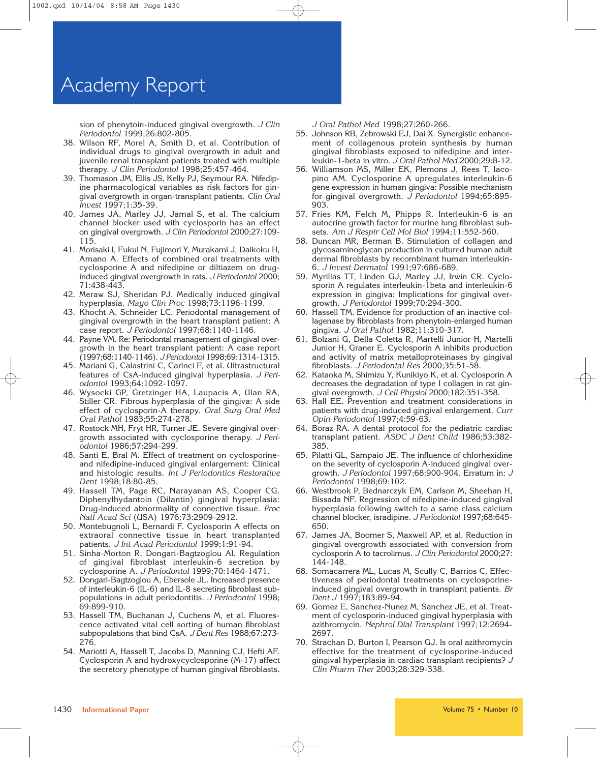sion of phenytoin-induced gingival overgrowth. *J Clin Periodontol* 1999;26:802-805.

- 38. Wilson RF, Morel A, Smith D, et al. Contribution of individual drugs to gingival overgrowth in adult and juvenile renal transplant patients treated with multiple therapy. *J Clin Periodontol* 1998;25:457-464.
- 39. Thomason JM, Ellis JS, Kelly PJ, Seymour RA. Nifedipine pharmacological variables as risk factors for gingival overgrowth in organ-transplant patients. *Clin Oral Invest* 1997;1:35-39.
- 40. James JA, Marley JJ, Jamal S, et al. The calcium channel blocker used with cyclosporin has an effect on gingival overgrowth. *J Clin Periodontol* 2000;27:109- 115.
- 41. Morisaki I, Fukui N, Fujimori Y, Murakami J, Daikoku H, Amano A. Effects of combined oral treatments with cyclosporine A and nifedipine or diltiazem on druginduced gingival overgrowth in rats. *J Periodontol* 2000; 71:438-443.
- 42. Meraw SJ, Sheridan PJ. Medically induced gingival hyperplasia. *Mayo Clin Proc* 1998;73:1196-1199.
- 43. Khocht A, Schneider LC. Periodontal management of gingival overgrowth in the heart transplant patient: A case report. *J Periodontol* 1997;68:1140-1146.
- 44. Payne VM. Re: Periodontal management of gingival overgrowth in the heart transplant patient: A case report (1997;68:1140-1146). *J Periodontol* 1998;69:1314-1315.
- 45. Mariani G, Calastrini C, Carinci F, et al. Ultrastructural features of CsA-induced gingival hyperplasia. *J Periodontol* 1993;64:1092-1097.
- 46. Wysocki GP, Gretzinger HA, Laupacis A, Ulan RA, Stiller CR. Fibrous hyperplasia of the gingiva: A side effect of cyclosporin-A therapy. *Oral Surg Oral Med Oral Pathol* 1983;55:274-278.
- 47. Rostock MH, Fryt HR, Turner JE. Severe gingival overgrowth associated with cyclosporine therapy. *J Periodontol* 1986;57:294-299.
- 48. Santi E, Bral M. Effect of treatment on cyclosporineand nifedipine-induced gingival enlargement: Clinical and histologic results. *Int J Periodontics Restorative Dent* 1998;18:80-85.
- 49. Hassell TM, Page RC, Narayanan AS, Cooper CG. Diphenylhydantoin (Dilantin) gingival hyperplasia: Drug-induced abnormality of connective tissue. *Proc Natl Acad Sci* (USA) 1976;73:2909-2912.
- 50. Montebugnoli L, Bernardi F. Cyclosporin A effects on extraoral connective tissue in heart transplanted patients. *J Int Acad Periodontol* 1999;1:91-94.
- 51. Sinha-Morton R, Dongari-Bagtzoglou AI. Regulation of gingival fibroblast interleukin-6 secretion by cyclosporine A. *J Periodontol* 1999;70:1464-1471.
- 52. Dongari-Bagtzoglou A, Ebersole JL. Increased presence of interleukin-6 (IL-6) and IL-8 secreting fibroblast subpopulations in adult periodontitis. *J Periodontol* 1998; 69:899-910.
- 53. Hassell TM, Buchanan J, Cuchens M, et al. Fluorescence activated vital cell sorting of human fibroblast subpopulations that bind CsA. *J Dent Res* 1988;67:273- 276.
- 54. Mariotti A, Hassell T, Jacobs D, Manning CJ, Hefti AF. Cyclosporin A and hydroxycyclosporine (M-17) affect the secretory phenotype of human gingival fibroblasts.

*J Oral Pathol Med* 1998;27:260-266.

- 55. Johnson RB, Zebrowski EJ, Dai X. Synergistic enhancement of collagenous protein synthesis by human gingival fibroblasts exposed to nifedipine and interleukin-1-beta in vitro. *J Oral Pathol Med* 2000;29:8-12.
- 56. Williamson MS, Miller EK, Plemons J, Rees T, Iacopino AM. Cyclosporine A upregulates interleukin-6 gene expression in human gingiva: Possible mechanism for gingival overgrowth. *J Periodontol* 1994;65:895- 903.
- 57. Fries KM, Felch M, Phipps R. Interleukin-6 is an autocrine growth factor for murine lung fibroblast subsets. *Am J Respir Cell Mol Biol* 1994;11:552-560.
- 58. Duncan MR, Berman B. Stimulation of collagen and glycosaminoglycan production in cultured human adult dermal fibroblasts by recombinant human interleukin-6. *J Invest Dermatol* 1991;97:686-689.
- 59. Myrillas TT, Linden GJ, Marley JJ, Irwin CR. Cyclosporin A regulates interleukin-1beta and interleukin-6 expression in gingiva: Implications for gingival overgrowth. *J Periodontol* 1999;70:294-300.
- 60. Hassell TM. Evidence for production of an inactive collagenase by fibroblasts from phenytoin-enlarged human gingiva. *J Oral Pathol* 1982;11:310-317.
- 61. Bolzani G, Della Coletta R, Martelli Junior H, Martelli Junior H, Graner E. Cyclosporin A inhibits production and activity of matrix metalloproteinases by gingival fibroblasts. *J Periodontal Res* 2000;35:51-58.
- 62. Kataoka M, Shimizu Y, Kunikiyo K, et al. Cyclosporin A decreases the degradation of type I collagen in rat gingival overgrowth. *J Cell Physiol* 2000;182:351-358.
- 63. Hall EE. Prevention and treatment considerations in patients with drug-induced gingival enlargement. *Curr Opin Periodontol* 1997;4:59-63.
- 64. Boraz RA. A dental protocol for the pediatric cardiac transplant patient. *ASDC J Dent Child* 1986;53:382- 385.
- 65. Pilatti GL, Sampaio JE. The influence of chlorhexidine on the severity of cyclosporin A-induced gingival overgrowth. *J Periodontol* 1997;68:900-904. Erratum in: *J Periodontol* 1998;69:102.
- 66. Westbrook P, Bednarczyk EM, Carlson M, Sheehan H, Bissada NF. Regression of nifedipine-induced gingival hyperplasia following switch to a same class calcium channel blocker, isradipine. *J Periodontol* 1997;68:645- 650.
- 67. James JA, Boomer S, Maxwell AP, et al. Reduction in gingival overgrowth associated with conversion from cyclosporin A to tacrolimus. *J Clin Periodontol* 2000;27: 144-148.
- 68. Somacarrera ML, Lucas M, Scully C, Barrios C. Effectiveness of periodontal treatments on cyclosporineinduced gingival overgrowth in transplant patients. *Br Dent J* 1997;183:89-94.
- 69. Gomez E, Sanchez-Nunez M, Sanchez JE, et al. Treatment of cyclosporin-induced gingival hyperplasia with azithromycin. *Nephrol Dial Transplant* 1997;12:2694- 2697.
- 70. Strachan D, Burton I, Pearson GJ. Is oral azithromycin effective for the treatment of cyclosporine-induced gingival hyperplasia in cardiac transplant recipients? *J Clin Pharm Ther* 2003;28:329-338.